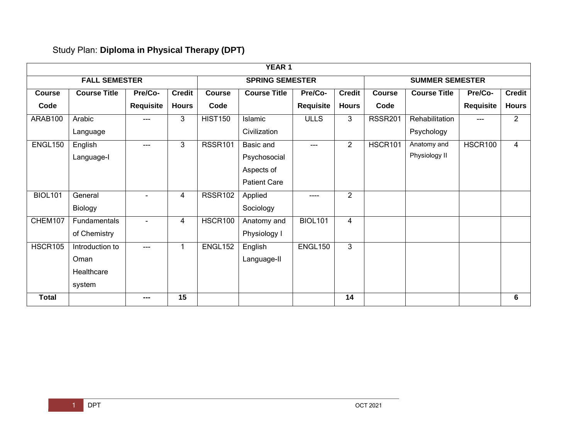## Study Plan: **Diploma in Physical Therapy (DPT)**

|                | YEAR 1               |                  |               |                |                        |                |                |                        |                     |           |                |  |  |
|----------------|----------------------|------------------|---------------|----------------|------------------------|----------------|----------------|------------------------|---------------------|-----------|----------------|--|--|
|                | <b>FALL SEMESTER</b> |                  |               |                | <b>SPRING SEMESTER</b> |                |                | <b>SUMMER SEMESTER</b> |                     |           |                |  |  |
| <b>Course</b>  | <b>Course Title</b>  | Pre/Co-          | <b>Credit</b> | <b>Course</b>  | <b>Course Title</b>    | Pre/Co-        | <b>Credit</b>  | <b>Course</b>          | <b>Course Title</b> | Pre/Co-   | <b>Credit</b>  |  |  |
| Code           |                      | <b>Requisite</b> | <b>Hours</b>  | Code           |                        | Requisite      | <b>Hours</b>   | Code                   |                     | Requisite | <b>Hours</b>   |  |  |
| ARAB100        | Arabic               | ---              | 3             | <b>HIST150</b> | Islamic                | <b>ULLS</b>    | 3              | <b>RSSR201</b>         | Rehabilitation      | $---$     | $\overline{2}$ |  |  |
|                | Language             |                  |               |                | Civilization           |                |                |                        | Psychology          |           |                |  |  |
| ENGL150        | English              | ---              | 3             | <b>RSSR101</b> | Basic and              | ---            | $\overline{2}$ | HSCR101                | Anatomy and         | HSCR100   | 4              |  |  |
|                | Language-I           |                  |               |                | Psychosocial           |                |                |                        | Physiology II       |           |                |  |  |
|                |                      |                  |               |                | Aspects of             |                |                |                        |                     |           |                |  |  |
|                |                      |                  |               |                | <b>Patient Care</b>    |                |                |                        |                     |           |                |  |  |
| <b>BIOL101</b> | General              |                  | 4             | <b>RSSR102</b> | Applied                | $---$          | $\overline{2}$ |                        |                     |           |                |  |  |
|                | Biology              |                  |               |                | Sociology              |                |                |                        |                     |           |                |  |  |
| CHEM107        | Fundamentals         | $\blacksquare$   | 4             | HSCR100        | Anatomy and            | <b>BIOL101</b> | 4              |                        |                     |           |                |  |  |
|                | of Chemistry         |                  |               |                | Physiology I           |                |                |                        |                     |           |                |  |  |
| <b>HSCR105</b> | Introduction to      | ---              | 1             | ENGL152        | English                | ENGL150        | 3              |                        |                     |           |                |  |  |
|                | Oman                 |                  |               |                | Language-II            |                |                |                        |                     |           |                |  |  |
|                | Healthcare           |                  |               |                |                        |                |                |                        |                     |           |                |  |  |
|                | system               |                  |               |                |                        |                |                |                        |                     |           |                |  |  |
| <b>Total</b>   |                      | ---              | 15            |                |                        |                | 14             |                        |                     |           | 6              |  |  |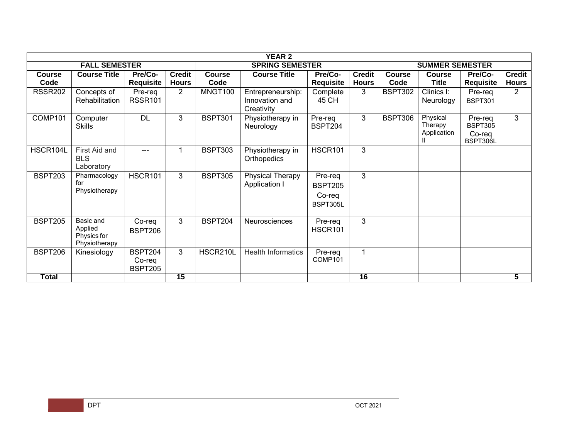| <b>YEAR 2</b>         |                                                      |                                            |                               |                       |                                                   |                                                 |                               |                       |                                    |                                                 |                               |  |
|-----------------------|------------------------------------------------------|--------------------------------------------|-------------------------------|-----------------------|---------------------------------------------------|-------------------------------------------------|-------------------------------|-----------------------|------------------------------------|-------------------------------------------------|-------------------------------|--|
|                       | <b>FALL SEMESTER</b>                                 |                                            |                               |                       | <b>SPRING SEMESTER</b>                            | <b>SUMMER SEMESTER</b>                          |                               |                       |                                    |                                                 |                               |  |
| <b>Course</b><br>Code | <b>Course Title</b>                                  | Pre/Co-<br><b>Requisite</b>                | <b>Credit</b><br><b>Hours</b> | <b>Course</b><br>Code | <b>Course Title</b>                               | Pre/Co-<br><b>Requisite</b>                     | <b>Credit</b><br><b>Hours</b> | <b>Course</b><br>Code | <b>Course</b><br>Title             | Pre/Co-<br><b>Requisite</b>                     | <b>Credit</b><br><b>Hours</b> |  |
| <b>RSSR202</b>        | Concepts of<br>Rehabilitation                        | Pre-req<br><b>RSSR101</b>                  | $\overline{2}$                | MNGT100               | Entrepreneurship:<br>Innovation and<br>Creativity | Complete<br>45 CH                               | 3                             | BSPT302               | Clinics I:<br>Neurology            | Pre-req<br><b>BSPT301</b>                       | $\overline{2}$                |  |
| COMP101               | Computer<br><b>Skills</b>                            | <b>DL</b>                                  | 3                             | <b>BSPT301</b>        | Physiotherapy in<br>Neurology                     | Pre-req<br><b>BSPT204</b>                       | 3                             | <b>BSPT306</b>        | Physical<br>Therapy<br>Application | Pre-req<br><b>BSPT305</b><br>Co-reg<br>BSPT306L | 3                             |  |
| HSCR104L              | First Aid and<br><b>BLS</b><br>Laboratory            |                                            |                               | <b>BSPT303</b>        | Physiotherapy in<br>Orthopedics                   | <b>HSCR101</b>                                  | 3                             |                       |                                    |                                                 |                               |  |
| <b>BSPT203</b>        | Pharmacology<br>for<br>Physiotherapy                 | <b>HSCR101</b>                             | 3                             | <b>BSPT305</b>        | Physical Therapy<br><b>Application I</b>          | Pre-req<br><b>BSPT205</b><br>Co-reg<br>BSPT305L | 3                             |                       |                                    |                                                 |                               |  |
| <b>BSPT205</b>        | Basic and<br>Applied<br>Physics for<br>Physiotherapy | Co-req<br><b>BSPT206</b>                   | 3                             | <b>BSPT204</b>        | <b>Neurosciences</b>                              | Pre-req<br><b>HSCR101</b>                       | 3                             |                       |                                    |                                                 |                               |  |
| <b>BSPT206</b>        | Kinesiology                                          | <b>BSPT204</b><br>Co-req<br><b>BSPT205</b> | 3                             | HSCR210L              | <b>Health Informatics</b>                         | Pre-req<br>COMP101                              |                               |                       |                                    |                                                 |                               |  |
| <b>Total</b>          |                                                      |                                            | 15                            |                       |                                                   |                                                 | 16                            |                       |                                    |                                                 | 5                             |  |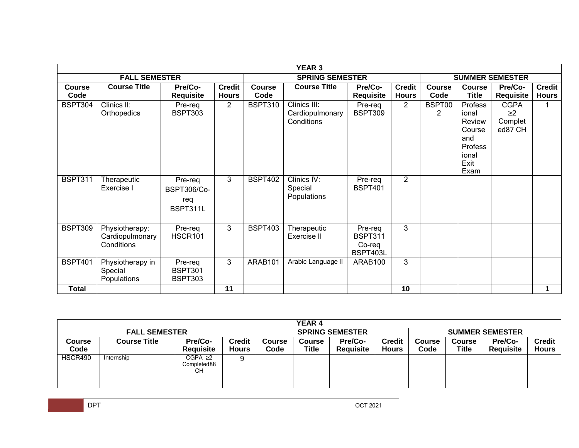|                       | <b>YEAR 3</b>                                   |                                                  |                               |                |                                               |                                                 |                               |                         |                                                                                 |                                               |                               |  |  |
|-----------------------|-------------------------------------------------|--------------------------------------------------|-------------------------------|----------------|-----------------------------------------------|-------------------------------------------------|-------------------------------|-------------------------|---------------------------------------------------------------------------------|-----------------------------------------------|-------------------------------|--|--|
|                       | <b>FALL SEMESTER</b>                            |                                                  |                               |                | <b>SPRING SEMESTER</b>                        | <b>SUMMER SEMESTER</b>                          |                               |                         |                                                                                 |                                               |                               |  |  |
| <b>Course</b><br>Code | <b>Course Title</b>                             | Pre/Co-<br><b>Requisite</b>                      | <b>Credit</b><br><b>Hours</b> | Course<br>Code | <b>Course Title</b>                           | Pre/Co-<br><b>Requisite</b>                     | <b>Credit</b><br><b>Hours</b> | <b>Course</b><br>Code   | <b>Course</b><br><b>Title</b>                                                   | Pre/Co-<br><b>Requisite</b>                   | <b>Credit</b><br><b>Hours</b> |  |  |
| <b>BSPT304</b>        | Clinics II:<br>Orthopedics                      | Pre-req<br><b>BSPT303</b>                        | $\overline{2}$                | <b>BSPT310</b> | Clinics III:<br>Cardiopulmonary<br>Conditions | Pre-req<br><b>BSPT309</b>                       | $\overline{2}$                | BSPT00<br>$\mathcal{P}$ | Profess<br>ional<br>Review<br>Course<br>and<br>Profess<br>ional<br>Exit<br>Exam | <b>CGPA</b><br>$\geq$ 2<br>Complet<br>ed87 CH |                               |  |  |
| <b>BSPT311</b>        | Therapeutic<br>Exercise I                       | Pre-req<br><b>BSPT306/Co-</b><br>reg<br>BSPT311L | 3                             | <b>BSPT402</b> | Clinics IV:<br>Special<br>Populations         | Pre-req<br><b>BSPT401</b>                       | $\overline{2}$                |                         |                                                                                 |                                               |                               |  |  |
| BSPT309               | Physiotherapy:<br>Cardiopulmonary<br>Conditions | Pre-req<br>HSCR101                               | 3                             | <b>BSPT403</b> | Therapeutic<br>Exercise II                    | Pre-req<br><b>BSPT311</b><br>Co-req<br>BSPT403L | 3                             |                         |                                                                                 |                                               |                               |  |  |
| <b>BSPT401</b>        | Physiotherapy in<br>Special<br>Populations      | Pre-req<br>BSPT301<br>BSPT303                    | 3                             | ARAB101        | Arabic Language II                            | ARAB100                                         | 3                             |                         |                                                                                 |                                               |                               |  |  |
| <b>Total</b>          |                                                 |                                                  | $\overline{11}$               |                |                                               |                                                 | 10                            |                         |                                                                                 |                                               |                               |  |  |

| YEAR 4               |                     |                                    |                               |                        |                        |                                    |                 |                        |                        |                                    |                               |  |
|----------------------|---------------------|------------------------------------|-------------------------------|------------------------|------------------------|------------------------------------|-----------------|------------------------|------------------------|------------------------------------|-------------------------------|--|
| <b>FALL SEMESTER</b> |                     |                                    |                               | <b>SPRING SEMESTER</b> |                        |                                    |                 | <b>SUMMER SEMESTER</b> |                        |                                    |                               |  |
| Course<br>Code       | <b>Course Title</b> | <b>Pre/Co-</b><br><b>Requisite</b> | <b>Credit</b><br><b>Hours</b> | Course<br>Code         | <b>Course</b><br>Title | <b>Pre/Co-</b><br><b>Requisite</b> | Credit<br>Hours | <b>Course</b><br>Code  | <b>Course</b><br>Title | <b>Pre/Co-</b><br><b>Requisite</b> | <b>Credit</b><br><b>Hours</b> |  |
| HSCR490              | Internship          | CGPA ≥2<br>Completed88<br>CН       |                               |                        |                        |                                    |                 |                        |                        |                                    |                               |  |